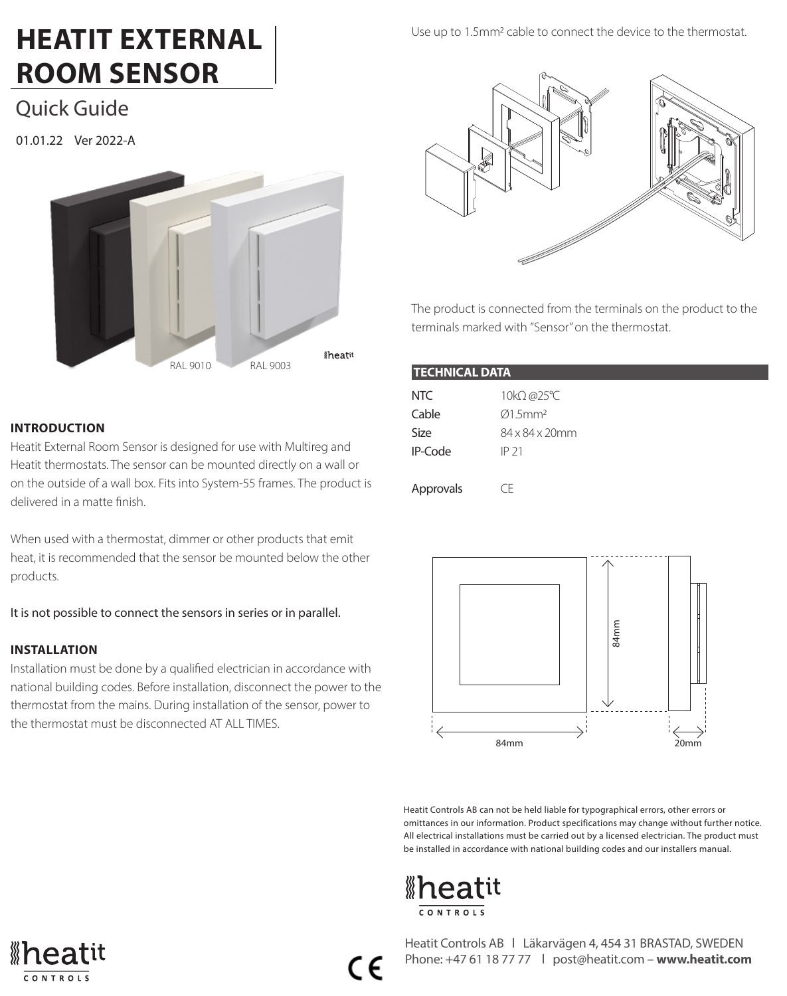# **HEATIT EXTERNAL ROOM SENSOR**

Quick Guide

01.01.22 Ver 2022-A



### **INTRODUCTION**

Heatit External Room Sensor is designed for use with Multireg and Heatit thermostats. The sensor can be mounted directly on a wall or on the outside of a wall box. Fits into System-55 frames. The product is delivered in a matte finish.

When used with a thermostat, dimmer or other products that emit heat, it is recommended that the sensor be mounted below the other products.

It is not possible to connect the sensors in series or in parallel.

## **INSTALLATION**

Installation must be done by a qualified electrician in accordance with national building codes. Before installation, disconnect the power to the thermostat from the mains. During installation of the sensor, power to the thermostat must be disconnected AT ALL TIMES.

## Use up to 1.5mm2 cable to connect the device to the thermostat.



The product is connected from the terminals on the product to the terminals marked with "Sensor" on the thermostat.

| <b>TECHNICAL DATA</b> |                                      |
|-----------------------|--------------------------------------|
| NTC<br>Cable          | 10kΩ @25°C<br>$Q1.5$ mm <sup>2</sup> |
| Size                  | 84 x 84 x 20mm                       |
| IP-Code               | IP 21                                |
| Approvals             | CF                                   |



Heatit Controls AB can not be held liable for typographical errors, other errors or omittances in our information. Product specifications may change without further notice. All electrical installations must be carried out by a licensed electrician. The product must be installed in accordance with national building codes and our installers manual.







 $\epsilon$